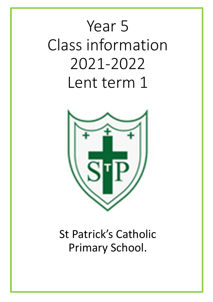# Year 5 Class information 2021‐2022 Lent term 1



St Patrick's Catholic Primary School.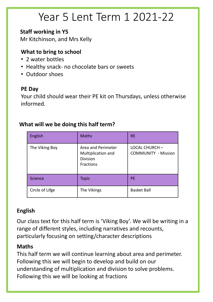# Year 5 Lent Term 1 2021‐22

### **Staff working in Y5**

Mr Kitchinson, and Mrs Kelly

# **What to bring to school**

- 2 water bottles
- Healthy snack‐ no chocolate bars or sweets
- Outdoor shoes

### **PE Day**

Your child should wear their PE kit on Thursdays, unless otherwise informed.

## English RE Naths Referred RE The Viking Boy | Area and Perimeter Multiplication and Division **Fractions** LOCAL CHURCH – COMMUNITY ‐ Mission Science Topic PE Circle of Lifge The Vikings and Basket Ball

## **What will we be doing this half term?**

## **English**

Our class text for this half term is 'Viking Boy'. We will be writing in a range of different styles, including narratives and recounts, particularly focusing on setting/character descriptions

### **Maths**

This half term we will continue learning about area and perimeter. Following this we will begin to develop and build on our understanding of multiplication and division to solve problems. Following this we will be looking at fractions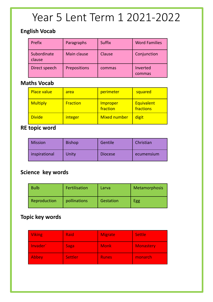# Year 5 Lent Term 1 2021‐2022

#### **English Vocab**

| Prefix                | Paragraphs          | <b>Suffix</b> | <b>Word Families</b> |
|-----------------------|---------------------|---------------|----------------------|
| Subordinate<br>clause | Main clause         | <b>Clause</b> | Conjunction          |
| Direct speech         | <b>Prepositions</b> | commas        | Inverted<br>commas   |

### **Maths Vocab**

| <b>Place value</b> | area            | perimeter                   | squared                        |
|--------------------|-----------------|-----------------------------|--------------------------------|
| <b>Multiply</b>    | <b>Fraction</b> | <b>Improper</b><br>fraction | <b>Equivalent</b><br>fractions |
| <b>Divide</b>      | <i>integer</i>  | <b>Mixed number</b>         | digit                          |

### **RE topic word**

| <b>Mission</b> | <b>Bishop</b> | Gentile        | Christian  |  |  |  |
|----------------|---------------|----------------|------------|--|--|--|
| inspirational  | Unity         | <b>Diocese</b> | ecumensium |  |  |  |

# **Science key words**

| <b>Bulb</b>  | Fertilisation | Larva     | <b>Metamorphosis</b> |  |  |  |  |
|--------------|---------------|-----------|----------------------|--|--|--|--|
| Reproduction | pollinations  | Gestation | Egg                  |  |  |  |  |

### **Topic key words**

| <b>Viking</b> | Raid           | <b>Migrate</b> | <b>Settle</b>    |
|---------------|----------------|----------------|------------------|
| Invader       | <b>Saga</b>    | <b>Monk</b>    | <b>Monastery</b> |
| Abbey         | <b>Settler</b> | <b>Runes</b>   | monarch          |